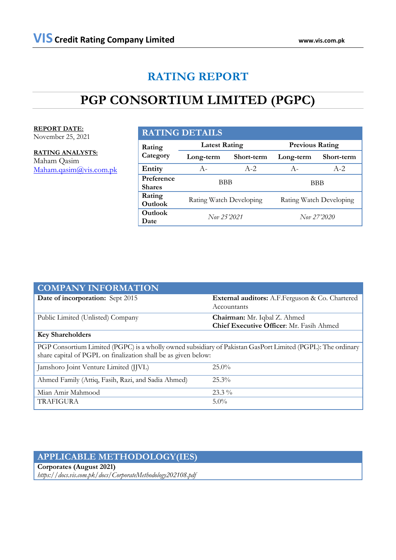# **RATING REPORT**

# **PGP CONSORTIUM LIMITED (PGPC)**

**REPORT DATE:**

November 25, 2021

**RATING ANALYSTS:** Maham Qasim [Maham.qasim@vis.com.pk](mailto:Maham.qasim@vis.com.pk)

## **RATING DETAILS**

| Rating<br>Category          | <b>Latest Rating</b>    |            | <b>Previous Rating</b>  |            |  |
|-----------------------------|-------------------------|------------|-------------------------|------------|--|
|                             | Long-term               | Short-term | Long-term               | Short-term |  |
| Entity                      | $A -$                   | $A - 2.$   | $A -$                   | $A - 2.$   |  |
| Preference<br><b>Shares</b> | BBB                     |            | BBB                     |            |  |
| Rating<br>Outlook           | Rating Watch Developing |            | Rating Watch Developing |            |  |
| Outlook<br>Date             | Nov 25'2021             |            | Nov 27'2020             |            |  |

| <b>COMPANY INFORMATION</b>                                                                                                                                                    |                                                                          |  |  |  |  |
|-------------------------------------------------------------------------------------------------------------------------------------------------------------------------------|--------------------------------------------------------------------------|--|--|--|--|
| Date of incorporation: Sept 2015                                                                                                                                              | <b>External auditors:</b> A.F. Ferguson & Co. Chartered<br>Accountants   |  |  |  |  |
| Public Limited (Unlisted) Company                                                                                                                                             | Chairman: Mr. Iqbal Z. Ahmed<br>Chief Executive Officer: Mr. Fasih Ahmed |  |  |  |  |
| <b>Key Shareholders</b>                                                                                                                                                       |                                                                          |  |  |  |  |
| PGP Consortium Limited (PGPC) is a wholly owned subsidiary of Pakistan GasPort Limited (PGPL): The ordinary<br>share capital of PGPL on finalization shall be as given below: |                                                                          |  |  |  |  |
| Jamshoro Joint Venture Limited (JJVL)                                                                                                                                         | $25.0\%$                                                                 |  |  |  |  |
| Ahmed Family (Attiq, Fasih, Razi, and Sadia Ahmed)                                                                                                                            | $25.3\%$                                                                 |  |  |  |  |
| Mian Amir Mahmood                                                                                                                                                             | $23.3\%$                                                                 |  |  |  |  |
| <b>TRAFIGURA</b>                                                                                                                                                              | $5.0\%$                                                                  |  |  |  |  |

# **APPLICABLE METHODOLOGY(IES)**

## **Corporates (August 2021)**

*https://docs.vis.com.pk/docs/CorporateMethodology202108.pdf*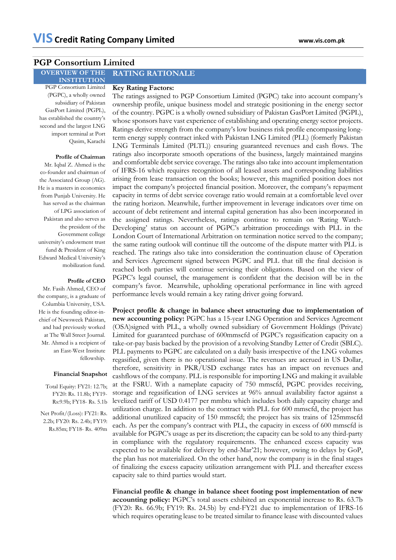### **PGP Consortium Limited**

#### **OVERVIEW OF THE RATING RATIONALE**

**INSTITUTION** PGP Consortium Limited

### **Key Rating Factors:**

(PGPC), a wholly owned subsidiary of Pakistan GasPort Limited (PGPL), has established the country's second and the largest LNG import terminal at Port Qasim, Karachi

### **Profile of Chairman**

Mr. Iqbal Z. Ahmed is the co-founder and chairman of the Associated Group (AG). He is a masters in economics from Punjab University. He has served as the chairman of LPG association of Pakistan and also serves as the president of the Government college university's endowment trust fund & President of King Edward Medical University's mobilization fund.

### **Profile of CEO**

Mr. Fasih Ahmed, CEO of the company, is a graduate of Columbia University, USA. He is the founding editor-inchief of [Newsweek](http://newsweekpakistan.com/) Pakistan, and had previously worked at The Wall Street Journal*.* Mr. Ahmed is a recipient of an East-West Institute fellowship.

### **Financial Snapshot**

Total Equity: FY21: 12.7b; FY20: Rs. 11.8b; FY19- Rs:9.9b; FY18- Rs. 5.1b

Net Profit/(Loss): FY21: Rs. 2.2b; FY20: Rs. 2.4b; FY19: Rs.85m; FY18- Rs. 409m The ratings assigned to PGP Consortium Limited (PGPC) take into account company's ownership profile, unique business model and strategic positioning in the energy sector of the country. PGPC is a wholly owned subsidiary of Pakistan GasPort Limited (PGPL), whose sponsors have vast experience of establishing and operating energy sector projects. Ratings derive strength from the company's low business risk profile encompassing longterm energy supply contract inked with Pakistan LNG Limited (PLL) (formerly Pakistan LNG Terminals Limited (PLTL)) ensuring guaranteed revenues and cash flows. The ratings also incorporate smooth operations of the business, largely maintained margins and comfortable debt service coverage. The ratings also take into account implementation of IFRS-16 which requires recognition of all leased assets and corresponding liabilities arising from lease transaction on the books; however, this magnified position does not impact the company's projected financial position. Moreover, the company's repayment capacity in terms of debt service coverage ratio would remain at a comfortable level over the rating horizon. Meanwhile, further improvement in leverage indicators over time on account of debt retirement and internal capital generation has also been incorporated in the assigned ratings. Nevertheless, ratings continue to remain on 'Rating Watch-Developing' status on account of PGPC's arbitration proceedings with PLL in the London Court of International Arbitration on termination notice served to the company; the same rating outlook will continue till the outcome of the dispute matter with PLL is reached. The ratings also take into consideration the continuation clause of Operation and Services Agreement signed between PGPC and PLL that till the final decision is reached both parties will continue servicing their obligations. Based on the view of PGPC's legal counsel, the management is confident that the decision will be in the company's favor. Meanwhile, upholding operational performance in line with agreed performance levels would remain a key rating driver going forward.

**Project profile & change in balance sheet structuring due to implementation of new accounting policy:** PGPC has a 15-year LNG Operation and Services Agreement (OSA)signed with PLL, a wholly owned subsidiary of Government Holdings (Private) Limited for guaranteed purchase of 600mmscfd of PGPC's regasification capacity on a take-or-pay basis backed by the provision of a revolving Standby Letter of Credit (SBLC). PLL payments to PGPC are calculated on a daily basis irrespective of the LNG volumes regasified, given there is no operational issue. The revenues are accrued in US Dollar, therefore, sensitivity in PKR/USD exchange rates has an impact on revenues and cashflows of the company. PLL is responsible for importing LNG and making it available at the FSRU. With a nameplate capacity of 750 mmscfd, PGPC provides receiving, storage and regasification of LNG services at 96% annual availability factor against a levelized tariff of USD 0.4177 per mmbtu which includes both daily capacity charge and utilization charge. In addition to the contract with PLL for 600 mmscfd, the project has additional unutilized capacity of 150 mmscfd; the project has six trains of 125mmscfd each. As per the company's contract with PLL, the capacity in excess of 600 mmscfd is available for PGPC's usage as per its discretion; the capacity can be sold to any third-party in compliance with the regulatory requirements. The enhanced excess capacity was expected to be available for delivery by end-Mar'21; however, owing to delays by GoP, the plan has not materialized. On the other hand, now the company is in the final stages of finalizing the excess capacity utilization arrangement with PLL and thereafter excess capacity sale to third parties would start.

**Financial profile & change in balance sheet footing post implementation of new accounting policy:** PGPC's total assets exhibited an exponential increase to Rs. 63.7b (FY20: Rs. 66.9b; FY19: Rs. 24.5b) by end-FY21 due to implementation of IFRS-16 which requires operating lease to be treated similar to finance lease with discounted values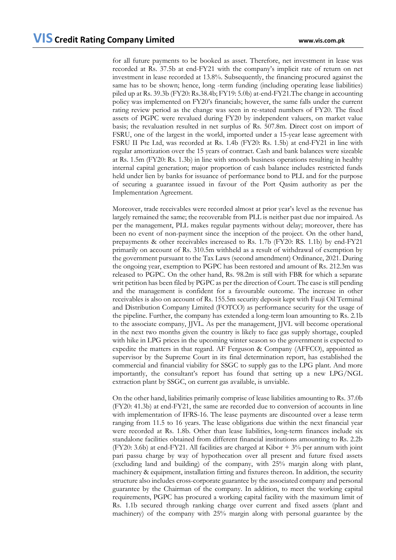for all future payments to be booked as asset. Therefore, net investment in lease was recorded at Rs. 37.5b at end-FY21 with the company's implicit rate of return on net investment in lease recorded at 13.8%. Subsequently, the financing procured against the same has to be shown; hence, long -term funding (including operating lease liabilities) piled up at Rs. 39.3b (FY20: Rs.38.4b; FY19: 5.0b) at-end-FY21.The change in accounting policy was implemented on FY20's financials; however, the same falls under the current rating review period as the change was seen in re-stated numbers of FY20. The fixed assets of PGPC were revalued during FY20 by independent valuers, on market value basis; the revaluation resulted in net surplus of Rs. 507.8m. Direct cost on import of FSRU, one of the largest in the world, imported under a 15-year lease agreement with FSRU II Pte Ltd, was recorded at Rs. 1.4b (FY20: Rs. 1.5b) at end-FY21 in line with regular amortization over the 15 years of contract. Cash and bank balances were sizeable at Rs. 1.5m (FY20: Rs. 1.3b) in line with smooth business operations resulting in healthy internal capital generation; major proportion of cash balance includes restricted funds held under lien by banks for issuance of performance bond to PLL and for the purpose of securing a guarantee issued in favour of the Port Qasim authority as per the Implementation Agreement.

Moreover, trade receivables were recorded almost at prior year's level as the revenue has largely remained the same; the recoverable from PLL is neither past due nor impaired. As per the management, PLL makes regular payments without delay; moreover, there has been no event of non-payment since the inception of the project. On the other hand, prepayments & other receivables increased to Rs. 1.7b (FY20: RS. 1.1b) by end-FY21 primarily on account of Rs. 310.5m withheld as a result of withdrawal of exemption by the government pursuant to the Tax Laws (second amendment) Ordinance, 2021. During the ongoing year, exemption to PGPC has been restored and amount of Rs. 212.3m was released to PGPC. On the other hand, Rs. 98.2m is still with FBR for which a separate writ petition has been filed by PGPC as per the direction of Court. The case is still pending and the management is confident for a favourable outcome. The increase in other receivables is also on account of Rs. 155.5m security deposit kept with Fauji Oil Terminal and Distribution Company Limited (FOTCO) as performance security for the usage of the pipeline. Further, the company has extended a long-term loan amounting to Rs. 2.1b to the associate company, JJVL. As per the management, JJVL will become operational in the next two months given the country is likely to face gas supply shortage, coupled with hike in LPG prices in the upcoming winter season so the government is expected to expedite the matters in that regard. AF Ferguson & Company (AFFCO), appointed as supervisor by the Supreme Court in its final determination report, has established the commercial and financial viability for SSGC to supply gas to the LPG plant. And more importantly, the consultant's report has found that setting up a new LPG/NGL extraction plant by SSGC, on current gas available, is unviable.

On the other hand, liabilities primarily comprise of lease liabilities amounting to Rs. 37.0b (FY20: 41.3b) at end-FY21, the same are recorded due to conversion of accounts in line with implementation of IFRS-16. The lease payments are discounted over a lease term ranging from 11.5 to 16 years. The lease obligations due within the next financial year were recorded at Rs. 1.8b. Other than lease liabilities, long-term finances include six standalone facilities obtained from different financial institutions amounting to Rs. 2.2b (FY20: 3.6b) at end-FY21. All facilities are charged at Kibor  $+ 3\%$  per annum with joint pari passu charge by way of hypothecation over all present and future fixed assets (excluding land and building) of the company, with 25% margin along with plant, machinery & equipment, installation fitting and fixtures thereon. In addition, the security structure also includes cross-corporate guarantee by the associated company and personal guarantee by the Chairman of the company. In addition, to meet the working capital requirements, PGPC has procured a working capital facility with the maximum limit of Rs. 1.1b secured through ranking charge over current and fixed assets (plant and machinery) of the company with 25% margin along with personal guarantee by the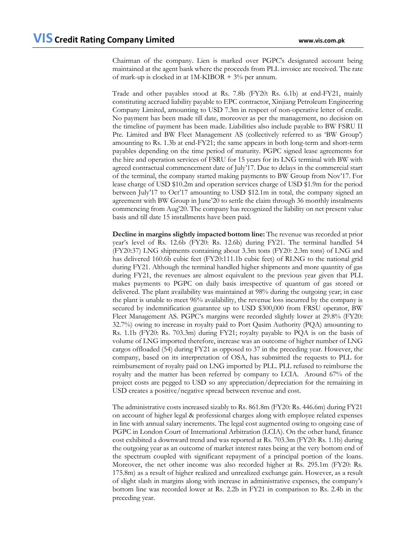Chairman of the company. Lien is marked over PGPC's designated account being maintained at the agent bank where the proceeds from PLL invoice are received. The rate of mark-up is clocked in at  $1M-KIBOR + 3%$  per annum.

Trade and other payables stood at Rs. 7.8b (FY20: Rs. 6.1b) at end-FY21, mainly constituting accrued liability payable to EPC contractor, Xinjiang Petroleum Engineering Company Limited, amounting to USD 7.3m in respect of non-operative letter of credit. No payment has been made till date, moreover as per the management, no decision on the timeline of payment has been made. Liabilities also include payable to BW FSRU II Pte. Limited and BW Fleet Management AS (collectively referred to as 'BW Group') amounting to Rs. 1.3b at end-FY21; the same appears in both long-term and short-term payables depending on the time period of maturity. PGPC signed lease agreements for the hire and operation services of FSRU for 15 years for its LNG terminal with BW with agreed contractual commencement date of July'17. Due to delays in the commercial start of the terminal, the company started making payments to BW Group from Nov'17. For lease charge of USD \$10.2m and operation services charge of USD \$1.9m for the period between July'17 to Oct'17 amounting to USD \$12.1m in total, the company signed an agreement with BW Group in June'20 to settle the claim through 36 monthly instalments commencing from Aug'20. The company has recognized the liability on net present value basis and till date 15 installments have been paid.

**Decline in margins slightly impacted bottom line:** The revenue was recorded at prior year's level of Rs. 12.6b (FY20: Rs. 12.6b) during FY21. The terminal handled 54 (FY20:37) LNG shipments containing about 3.3m tons (FY20: 2.3m tons) of LNG and has delivered 160.6b cubic feet (FY20:111.1b cubic feet) of RLNG to the national grid during FY21. Although the terminal handled higher shipments and more quantity of gas during FY21, the revenues are almost equivalent to the previous year given that PLL makes payments to PGPC on daily basis irrespective of quantum of gas stored or delivered. The plant availability was maintained at 98% during the outgoing year; in case the plant is unable to meet 96% availability, the revenue loss incurred by the company is secured by indemnification guarantee up to USD \$300,000 from FRSU operator, BW Fleet Management AS. PGPC's margins were recorded slightly lower at 29.8% (FY20: 32.7%) owing to increase in royalty paid to Port Qasim Authority (PQA) amounting to Rs. 1.1b (FY20: Rs. 703.3m) during FY21; royalty payable to PQA is on the basis of volume of LNG imported therefore, increase was an outcome of higher number of LNG cargos offloaded (54) during FY21 as opposed to 37 in the preceding year. However, the company, based on its interpretation of OSA, has submitted the requests to PLL for reimbursement of royalty paid on LNG imported by PLL. PLL refused to reimburse the royalty and the matter has been referred by company to LCIA. Around 67% of the project costs are pegged to USD so any appreciation/depreciation for the remaining in USD creates a positive/negative spread between revenue and cost.

The administrative costs increased sizably to Rs. 861.8m (FY20: Rs. 446.6m) during FY21 on account of higher legal & professional charges along with employee related expenses in line with annual salary increments. The legal cost augmented owing to ongoing case of PGPC in London Court of International Arbitration (LCIA). On the other hand, finance cost exhibited a downward trend and was reported at Rs. 703.3m (FY20: Rs. 1.1b) during the outgoing year as an outcome of market interest rates being at the very bottom end of the spectrum coupled with significant repayment of a principal portion of the loans. Moreover, the net other income was also recorded higher at Rs. 295.1m (FY20: Rs. 175.8m) as a result of higher realized and unrealized exchange gain. However, as a result of slight slash in margins along with increase in administrative expenses, the company's bottom line was recorded lower at Rs. 2.2b in FY21 in comparison to Rs. 2.4b in the preceding year.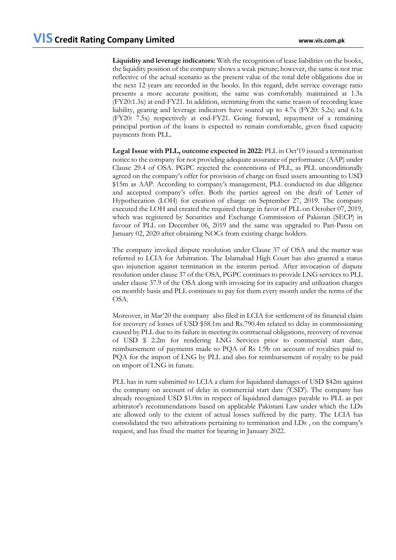**Liquidity and leverage indicators:** With the recognition of lease liabilities on the books, the liquidity position of the company shows a weak picture; however, the same is not true reflective of the actual scenario as the present value of the total debt obligations due in the next 12 years are recorded in the books. In this regard, debt service coverage ratio presents a more accurate position; the same was comfortably maintained at 1.3x (FY20:1.3x) at end-FY21. In addition, stemming from the same reason of recording lease liability, gearing and leverage indicators have soared up to 4.7x (FY20: 5.2x) and 6.1x (FY20: 7.5x) respectively at end-FY21. Going forward, repayment of a remaining principal portion of the loans is expected to remain comfortable, given fixed capacity payments from PLL.

**Legal Issue with PLL, outcome expected in 2022:** PLL in Oct'19 issued a termination notice to the company for not providing adequate assurance of performance (AAP) under Clause 29.4 of OSA. PGPC rejected the contentions of PLL, as PLL unconditionally agreed on the company's offer for provision of charge on fixed assets amounting to USD \$15m as AAP. According to company's management, PLL conducted its due diligence and accepted company's offer. Both the parties agreed on the draft of Letter of Hypothecation (LOH) for creation of charge on September 27, 2019. The company executed the LOH and created the required charge in favor of PLL on October 07, 2019, which was registered by Securities and Exchange Commission of Pakistan (SECP) in favour of PLL on December 06, 2019 and the same was upgraded to Pari-Passu on January 02, 2020 after obtaining NOCs from existing charge holders.

The company invoked dispute resolution under Clause 37 of OSA and the matter was referred to LCIA for Arbitration. The Islamabad High Court has also granted a status quo injunction against termination in the interim period. After invocation of dispute resolution under clause 37 of the OSA, PGPC continues to provide LNG services to PLL under clause 37.9 of the OSA along with invoicing for its capacity and utilization charges on monthly basis and PLL continues to pay for them every month under the terms of the OSA.

Moreover, in Mar'20 the company also filed in LCIA for settlement of its financial claim for recovery of losses of USD \$58.1m and Rs.790.4m related to delay in commissioning caused by PLL due to its failure in meeting its contractual obligations, recovery of revenue of USD \$ 2.2m for rendering LNG Services prior to commercial start date, reimbursement of payments made to PQA of Rs 1.9b on account of royalties paid to PQA for the import of LNG by PLL and also for reimbursement of royalty to be paid on import of LNG in future.

PLL has in turn submitted to LCIA a claim for liquidated damages of USD \$42m against the company on account of delay in commercial start date ('CSD'). The company has already recognized USD \$1.0m in respect of liquidated damages payable to PLL as per arbitrator's recommendations based on applicable Pakistani Law under which the LDs are allowed only to the extent of actual losses suffered by the party. The LCIA has consolidated the two arbitrations pertaining to termination and LDs , on the company's request, and has fixed the matter for hearing in January 2022.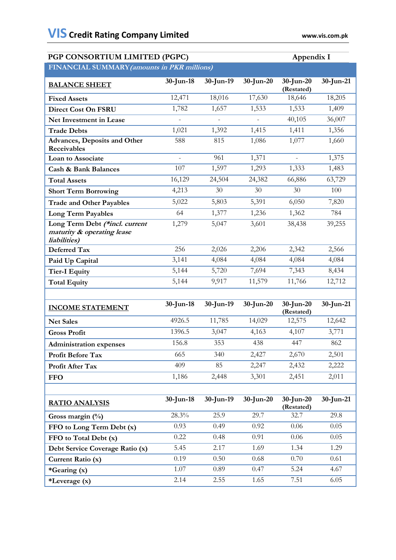| PGP CONSORTIUM LIMITED (PGPC)<br>Appendix I                                  |                |                |              |                            |              |
|------------------------------------------------------------------------------|----------------|----------------|--------------|----------------------------|--------------|
| FINANCIAL SUMMARY (amounts in PKR millions)                                  |                |                |              |                            |              |
| <b>BALANCE SHEET</b>                                                         | $30$ -Jun-18   | $30$ -Jun-19   | $30$ -Jun-20 | 30-Jun-20<br>(Restated)    | $30$ -Jun-21 |
| <b>Fixed Assets</b>                                                          | 12,471         | 18,016         | 17,630       | 18,646                     | 18,205       |
| <b>Direct Cost On FSRU</b>                                                   | 1,782          | 1,657          | 1,533        | 1,533                      | 1,409        |
| Net Investment in Lease                                                      | $\overline{a}$ | $\overline{a}$ |              | 40,105                     | 36,007       |
| <b>Trade Debts</b>                                                           | 1,021          | 1,392          | 1,415        | 1,411                      | 1,356        |
| <b>Advances, Deposits and Other</b><br>Receivables                           | 588            | 815            | 1,086        | 1,077                      | 1,660        |
| Loan to Associate                                                            |                | 961            | 1,371        |                            | 1,375        |
| <b>Cash &amp; Bank Balances</b>                                              | 107            | 1,597          | 1,293        | 1,333                      | 1,483        |
| <b>Total Assets</b>                                                          | 16,129         | 24,504         | 24,382       | 66,886                     | 63,729       |
| <b>Short Term Borrowing</b>                                                  | 4,213          | 30             | 30           | 30                         | 100          |
| <b>Trade and Other Payables</b>                                              | 5,022          | 5,803          | 5,391        | 6,050                      | 7,820        |
| Long Term Payables                                                           | 64             | 1,377          | 1,236        | 1,362                      | 784          |
| Long Term Debt (*incl. current<br>maturity & operating lease<br>liabilities) | 1,279          | 5,047          | 3,601        | 38,438                     | 39,255       |
| Deferred Tax                                                                 | 256            | 2,026          | 2,206        | 2,342                      | 2,566        |
| Paid Up Capital                                                              | 3,141          | 4,084          | 4,084        | 4,084                      | 4,084        |
| <b>Tier-I Equity</b>                                                         | 5,144          | 5,720          | 7,694        | 7,343                      | 8,434        |
| <b>Total Equity</b>                                                          | 5,144          | 9,917          | 11,579       | 11,766                     | 12,712       |
|                                                                              |                |                |              |                            |              |
| <b>INCOME STATEMENT</b>                                                      | $30$ -Jun-18   | $30$ -Jun-19   | $30$ -Jun-20 | $30$ -Jun-20<br>(Restated) | $30$ -Jun-21 |
| <b>Net Sales</b>                                                             | 4926.5         | 11,785         | 14,029       | 12,575                     | 12,642       |
| <b>Gross Profit</b>                                                          | 1396.5         | 3,047          | 4,163        | 4,107                      | 3,771        |
| <b>Administration expenses</b>                                               | 156.8          | 353            | 438          | 447                        | 862          |
| Profit Before Tax                                                            | 665            | 340            | 2,427        | 2,670                      | 2,501        |
| Profit After Tax                                                             | 409            | 85             | 2,247        | 2,432                      | 2,222        |
| <b>FFO</b>                                                                   | 1,186          | 2,448          | 3,301        | 2,451                      | 2,011        |
|                                                                              |                |                |              |                            |              |
| <b>RATIO ANALYSIS</b>                                                        | $30$ -Jun-18   | $30$ -Jun-19   | $30$ -Jun-20 | $30$ -Jun-20<br>(Restated) | $30$ -Jun-21 |
| Gross margin (%)                                                             | 28.3%          | 25.9           | 29.7         | 32.7                       | 29.8         |
| FFO to Long Term Debt (x)                                                    | 0.93           | 0.49           | 0.92         | 0.06                       | 0.05         |
| FFO to Total Debt (x)                                                        | 0.22           | 0.48           | 0.91         | 0.06                       | 0.05         |
| Debt Service Coverage Ratio (x)                                              | 5.45           | 2.17           | 1.69         | 1.34                       | 1.29         |
| Current Ratio (x)                                                            | 0.19           | 0.50           | 0.68         | 0.70                       | 0.61         |
| *Gearing (x)                                                                 | 1.07           | 0.89           | 0.47         | 5.24                       | 4.67         |
| *Leverage (x)                                                                | 2.14           | 2.55           | 1.65         | 7.51                       | 6.05         |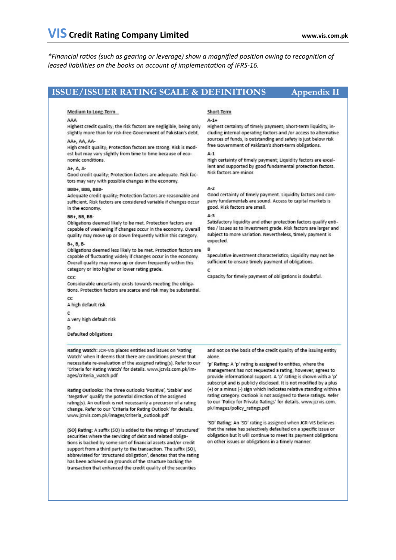*\*Financial ratios (such as gearing or leverage) show a magnified position owing to recognition of leased liabilities on the books on account of implementation of IFRS-16.* 

### **ISSUE/ISSUER RATING SCALE & DEFINITIONS Appendix II**

### Medium to Long-Term

### AAA

Highest credit quality; the risk factors are negligible, being only slightly more than for risk-free Government of Pakistan's debt.

### AA+, AA, AA-

High credit quality; Protection factors are strong. Risk is modest but may vary slightly from time to time because of economic conditions.

### $A + A$ .

Good credit quality; Protection factors are adequate. Risk factors may vary with possible changes in the economy.

### BBB+, BBB, BBB-

Adequate credit quality; Protection factors are reasonable and sufficient. Risk factors are considered variable if changes occur in the economy.

### **BB+ BB BB-**

Obligations deemed likely to be met. Protection factors are capable of weakening if changes occur in the economy. Overall quality may move up or down frequently within this category.

### $B + B$ ,  $B - B$

Obligations deemed less likely to be met. Protection factors are capable of fluctuating widely if changes occur in the economy. Overall quality may move up or down frequently within this category or into higher or lower rating grade.

#### $ccc$

Considerable uncertainty exists towards meeting the obligations. Protection factors are scarce and risk may be substantial.

cc A high default risk c A very high default risk

n.

Defaulted obligations

Rating Watch: JCR-VIS places entities and issues on 'Rating Watch' when it deems that there are conditions present that necessitate re-evaluation of the assigned rating(s). Refer to our 'Criteria for Rating Watch' for details. www.jcrvis.com.pk/images/criteria\_watch.pdf

Rating Outlooks: The three outlooks 'Positive', 'Stable' and 'Negative' qualify the potential direction of the assigned rating(s). An outlook is not necessarily a precursor of a rating. change. Refer to our 'Criteria for Rating Outlook' for details. www.jcrvis.com.pk/images/criteria\_outlook.pdf

(SO) Rating: A suffix (SO) is added to the ratings of 'structured' securities where the servicing of debt and related obligations is backed by some sort of financial assets and/or credit support from a third party to the transaction. The suffix (SO), abbreviated for 'structured obligation', denotes that the rating has been achieved on grounds of the structure backing the transaction that enhanced the credit quality of the securities

### Short-Term

### $A-1+$

Highest certainty of timely payment; Short-term liquidity, including internal operating factors and /or access to alternative sources of funds, is outstanding and safety is just below risk free Government of Pakistan's short-term obligations.  $A-1$ 

High certainty of timely payment; Liquidity factors are excellent and supported by good fundamental protection factors. Risk factors are minor.

### $A-2$

Good certainty of timely payment. Liquidity factors and company fundamentals are sound. Access to capital markets is good. Risk factors are small.

#### $\Delta - 3$

Satisfactory liquidity and other protection factors qualify entities / issues as to investment grade. Risk factors are larger and subject to more variation. Nevertheless, timely payment is expected.

Speculative investment characteristics; Liquidity may not be sufficient to ensure timely payment of obligations.

### c.

Capacity for timely payment of obligations is doubtful.

and not on the basis of the credit quality of the issuing entity alone

'p' Rating: A 'p' rating is assigned to entities, where the management has not requested a rating, however, agrees to provide informational support. A 'p' rating is shown with a 'p' subscript and is publicly disclosed. It is not modified by a plus (+) or a minus (-) sign which indicates relative standing within a rating category. Outlook is not assigned to these ratings. Refer to our 'Policy for Private Ratings' for details. www.jcrvis.com. pk/images/policy\_ratings.pdf

'SD' Rating: An 'SD' rating is assigned when JCR-VIS believes that the ratee has selectively defaulted on a specific issue or obligation but it will continue to meet its payment obligations on other issues or obligations in a timely manner.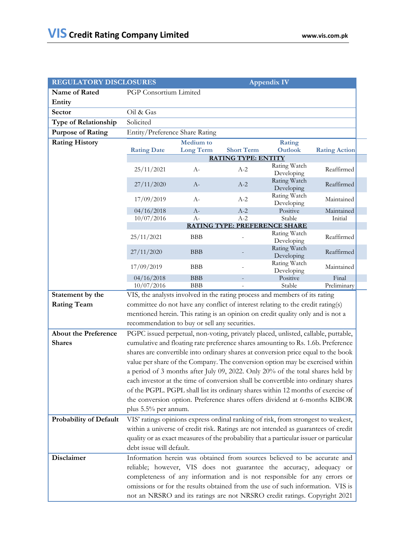| <b>REGULATORY DISCLOSURES</b> | <b>Appendix IV</b>                                                                     |                  |                   |                                                                                    |                      |
|-------------------------------|----------------------------------------------------------------------------------------|------------------|-------------------|------------------------------------------------------------------------------------|----------------------|
| Name of Rated                 | PGP Consortium Limited                                                                 |                  |                   |                                                                                    |                      |
| Entity                        |                                                                                        |                  |                   |                                                                                    |                      |
| Sector                        | Oil & Gas                                                                              |                  |                   |                                                                                    |                      |
| <b>Type of Relationship</b>   | Solicited                                                                              |                  |                   |                                                                                    |                      |
| <b>Purpose of Rating</b>      | Entity/Preference Share Rating                                                         |                  |                   |                                                                                    |                      |
| <b>Rating History</b>         |                                                                                        | <b>Medium</b> to |                   | Rating                                                                             |                      |
|                               | <b>Rating Date</b>                                                                     | <b>Long Term</b> | <b>Short Term</b> | <b>Outlook</b>                                                                     | <b>Rating Action</b> |
|                               | <b>RATING TYPE: ENTITY</b>                                                             |                  |                   |                                                                                    |                      |
|                               | 25/11/2021                                                                             | $A-$             | $A-2$             | Rating Watch<br>Developing                                                         | Reaffirmed           |
|                               | 27/11/2020                                                                             | $A-$             | $A-2$             | Rating Watch<br>Developing                                                         | Reaffirmed           |
|                               | 17/09/2019                                                                             | $A-$             | $A-2$             | Rating Watch<br>Developing                                                         | Maintained           |
|                               | 04/16/2018                                                                             | $A-$             | $A-2$             | Positive                                                                           | Maintained           |
|                               | 10/07/2016                                                                             | $A-$             | $A-2$             | Stable<br><b>RATING TYPE: PREFERENCE SHARE</b>                                     | Initial              |
|                               |                                                                                        |                  |                   | Rating Watch                                                                       |                      |
|                               | 25/11/2021                                                                             | <b>BBB</b>       |                   | Developing<br>Rating Watch                                                         | Reaffirmed           |
|                               | 27/11/2020                                                                             | <b>BBB</b>       |                   | Developing<br>Rating Watch                                                         | Reaffirmed           |
|                               | 17/09/2019                                                                             | <b>BBB</b>       |                   | Developing                                                                         | Maintained           |
|                               | 04/16/2018                                                                             | <b>BBB</b>       |                   | Positive                                                                           | Final                |
|                               | 10/07/2016                                                                             | <b>BBB</b>       |                   | Stable                                                                             | Preliminary          |
| Statement by the              |                                                                                        |                  |                   | VIS, the analysts involved in the rating process and members of its rating         |                      |
| <b>Rating Team</b>            |                                                                                        |                  |                   | committee do not have any conflict of interest relating to the credit rating(s)    |                      |
|                               | mentioned herein. This rating is an opinion on credit quality only and is not a        |                  |                   |                                                                                    |                      |
|                               | recommendation to buy or sell any securities.                                          |                  |                   |                                                                                    |                      |
| <b>About the Preference</b>   |                                                                                        |                  |                   | PGPC issued perpetual, non-voting, privately placed, unlisted, callable, puttable, |                      |
| <b>Shares</b>                 | cumulative and floating rate preference shares amounting to Rs. 1.6b. Preference       |                  |                   |                                                                                    |                      |
|                               |                                                                                        |                  |                   | shares are convertible into ordinary shares at conversion price equal to the book  |                      |
|                               |                                                                                        |                  |                   | value per share of the Company. The conversion option may be exercised within      |                      |
|                               |                                                                                        |                  |                   | a period of 3 months after July 09, 2022. Only 20% of the total shares held by     |                      |
|                               | each investor at the time of conversion shall be convertible into ordinary shares      |                  |                   |                                                                                    |                      |
|                               | of the PGPL. PGPL shall list its ordinary shares within 12 months of exercise of       |                  |                   |                                                                                    |                      |
|                               | the conversion option. Preference shares offers dividend at 6-months KIBOR             |                  |                   |                                                                                    |                      |
|                               | plus 5.5% per annum.                                                                   |                  |                   |                                                                                    |                      |
| <b>Probability of Default</b> | VIS' ratings opinions express ordinal ranking of risk, from strongest to weakest,      |                  |                   |                                                                                    |                      |
|                               | within a universe of credit risk. Ratings are not intended as guarantees of credit     |                  |                   |                                                                                    |                      |
|                               | quality or as exact measures of the probability that a particular issuer or particular |                  |                   |                                                                                    |                      |
|                               | debt issue will default.                                                               |                  |                   |                                                                                    |                      |
| <b>Disclaimer</b>             |                                                                                        |                  |                   | Information herein was obtained from sources believed to be accurate and           |                      |
|                               | reliable; however, VIS does not guarantee the accuracy, adequacy or                    |                  |                   |                                                                                    |                      |
|                               | completeness of any information and is not responsible for any errors or               |                  |                   |                                                                                    |                      |
|                               | omissions or for the results obtained from the use of such information. VIS is         |                  |                   |                                                                                    |                      |
|                               | not an NRSRO and its ratings are not NRSRO credit ratings. Copyright 2021              |                  |                   |                                                                                    |                      |